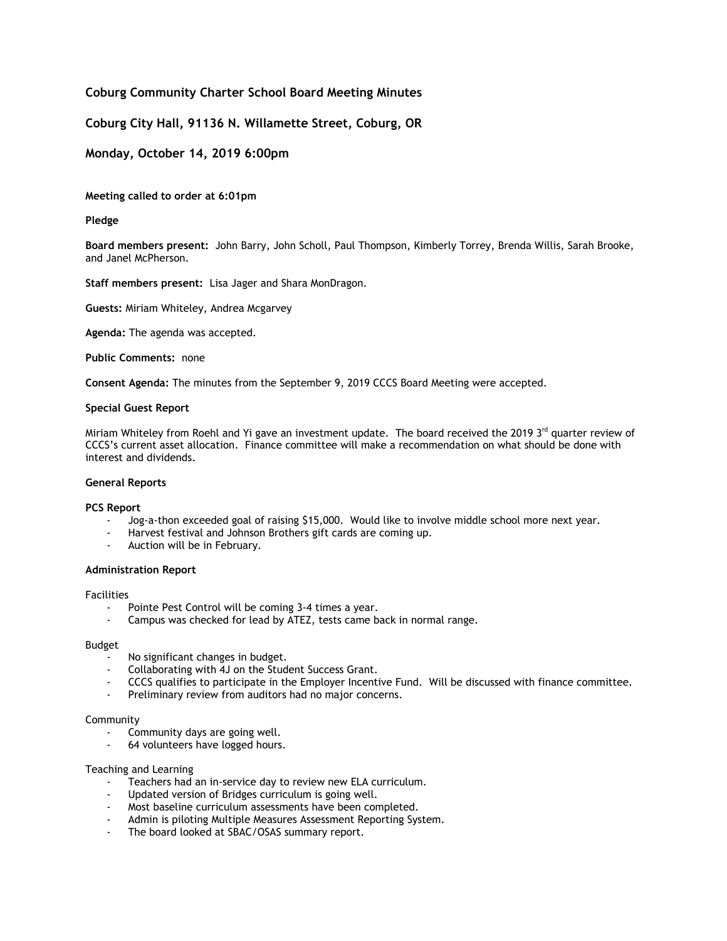# **Coburg Community Charter School Board Meeting Minutes**

## **Coburg City Hall, 91136 N. Willamette Street, Coburg, OR**

## **Monday, October 14, 2019 6:00pm**

**Meeting called to order at 6:01pm**

### **Pledge**

**Board members present:** John Barry, John Scholl, Paul Thompson, Kimberly Torrey, Brenda Willis, Sarah Brooke, and Janel McPherson.

**Staff members present:** Lisa Jager and Shara MonDragon.

**Guests:** Miriam Whiteley, Andrea Mcgarvey

**Agenda:** The agenda was accepted.

**Public Comments: none** 

**Consent Agenda:** The minutes from the September 9, 2019 CCCS Board Meeting were accepted.

#### **Special Guest Report**

Miriam Whiteley from Roehl and Yi gave an investment update. The board received the 2019 3<sup>rd</sup> quarter review of CCCS's current asset allocation. Finance committee will make a recommendation on what should be done with interest and dividends.

#### **General Reports**

#### **PCS Report**

- Jog-a-thon exceeded goal of raising \$15,000. Would like to involve middle school more next year.
- Harvest festival and Johnson Brothers gift cards are coming up.
- Auction will be in February.

#### **Administration Report**

#### Facilities

- Pointe Pest Control will be coming 3-4 times a year.
- Campus was checked for lead by ATEZ, tests came back in normal range.

#### Budget

- No significant changes in budget.
- Collaborating with 4J on the Student Success Grant.
- CCCS qualifies to participate in the Employer Incentive Fund. Will be discussed with finance committee.
- Preliminary review from auditors had no major concerns.

### Community

- Community days are going well.
- 64 volunteers have logged hours.

#### Teaching and Learning

- Teachers had an in-service day to review new ELA curriculum.
- Updated version of Bridges curriculum is going well.
- Most baseline curriculum assessments have been completed.
- Admin is piloting Multiple Measures Assessment Reporting System.
- The board looked at SBAC/OSAS summary report.